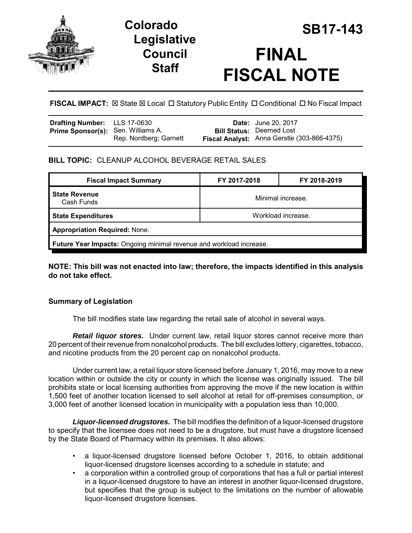

# **Legislative Council Staff**



**FISCAL IMPACT:**  $\boxtimes$  **State**  $\boxtimes$  **Local □ Statutory Public Entity □ Conditional □ No Fiscal Impact** 

| Drafting Number: LLS 17-0630              |                        | <b>Date:</b> June 20, 2017                  |
|-------------------------------------------|------------------------|---------------------------------------------|
| <b>Prime Sponsor(s):</b> Sen. Williams A. |                        | <b>Bill Status: Deemed Lost</b>             |
|                                           | Rep. Nordberg; Garnett | Fiscal Analyst: Anna Gerstle (303-866-4375) |

# **BILL TOPIC:** CLEANUP ALCOHOL BEVERAGE RETAIL SALES

| <b>Fiscal Impact Summary</b>                                        | FY 2017-2018       | FY 2018-2019 |  |  |  |
|---------------------------------------------------------------------|--------------------|--------------|--|--|--|
| <b>State Revenue</b><br>Minimal increase.<br>Cash Funds             |                    |              |  |  |  |
| <b>State Expenditures</b>                                           | Workload increase. |              |  |  |  |
| <b>Appropriation Required: None.</b>                                |                    |              |  |  |  |
| Future Year Impacts: Ongoing minimal revenue and workload increase. |                    |              |  |  |  |

**NOTE: This bill was not enacted into law; therefore, the impacts identified in this analysis do not take effect.**

## **Summary of Legislation**

The bill modifies state law regarding the retail sale of alcohol in several ways.

*Retail liquor stores.* Under current law, retail liquor stores cannot receive more than 20 percent of their revenue from nonalcohol products. The bill excludes lottery, cigarettes, tobacco, and nicotine products from the 20 percent cap on nonalcohol products.

Under current law, a retail liquor store licensed before January 1, 2016, may move to a new location within or outside the city or county in which the license was originally issued. The bill prohibits state or local licensing authorities from approving the move if the new location is within 1,500 feet of another location licensed to sell alcohol at retail for off-premises consumption, or 3,000 feet of another licensed location in municipality with a population less than 10,000.

*Liquor-licensed drugstores.* The bill modifies the definition of a liquor-licensed drugstore to specify that the licensee does not need to be a drugstore, but must have a drugstore licensed by the State Board of Pharmacy within its premises. It also allows:

- a liquor-licensed drugstore licensed before October 1, 2016, to obtain additional liquor-licensed drugstore licenses according to a schedule in statute; and
- a corporation within a controlled group of corporations that has a full or partial interest in a liquor-licensed drugstore to have an interest in another liquor-licensed drugstore, but specifies that the group is subject to the limitations on the number of allowable liquor-licensed drugstore licenses.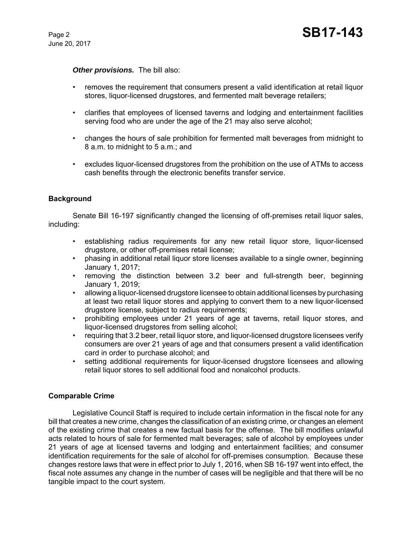#### *Other provisions.* The bill also:

- removes the requirement that consumers present a valid identification at retail liquor stores, liquor-licensed drugstores, and fermented malt beverage retailers;
- clarifies that employees of licensed taverns and lodging and entertainment facilities serving food who are under the age of the 21 may also serve alcohol;
- changes the hours of sale prohibition for fermented malt beverages from midnight to 8 a.m. to midnight to 5 a.m.; and
- excludes liquor-licensed drugstores from the prohibition on the use of ATMs to access cash benefits through the electronic benefits transfer service.

#### **Background**

Senate Bill 16-197 significantly changed the licensing of off-premises retail liquor sales, including:

- establishing radius requirements for any new retail liquor store, liquor-licensed drugstore, or other off-premises retail license;
- phasing in additional retail liquor store licenses available to a single owner, beginning January 1, 2017;
- removing the distinction between 3.2 beer and full-strength beer, beginning January 1, 2019;
- allowing a liquor-licensed drugstore licensee to obtain additional licenses by purchasing at least two retail liquor stores and applying to convert them to a new liquor-licensed drugstore license, subject to radius requirements;
- prohibiting employees under 21 years of age at taverns, retail liquor stores, and liquor-licensed drugstores from selling alcohol;
- requiring that 3.2 beer, retail liquor store, and liquor-licensed drugstore licensees verify consumers are over 21 years of age and that consumers present a valid identification card in order to purchase alcohol; and
- setting additional requirements for liquor-licensed drugstore licensees and allowing retail liquor stores to sell additional food and nonalcohol products.

#### **Comparable Crime**

Legislative Council Staff is required to include certain information in the fiscal note for any bill that creates a new crime, changes the classification of an existing crime, or changes an element of the existing crime that creates a new factual basis for the offense. The bill modifies unlawful acts related to hours of sale for fermented malt beverages; sale of alcohol by employees under 21 years of age at licensed taverns and lodging and entertainment facilities; and consumer identification requirements for the sale of alcohol for off-premises consumption. Because these changes restore laws that were in effect prior to July 1, 2016, when SB 16-197 went into effect, the fiscal note assumes any change in the number of cases will be negligible and that there will be no tangible impact to the court system.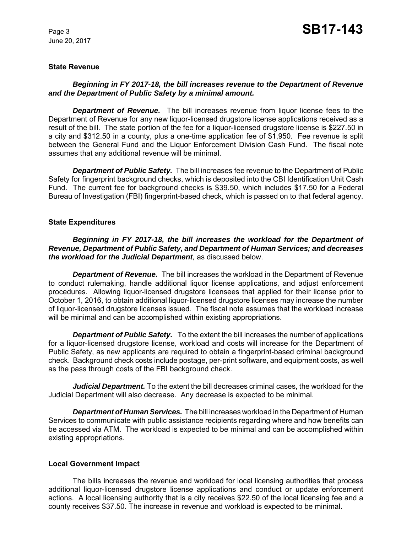June 20, 2017

#### **State Revenue**

#### *Beginning in FY 2017-18, the bill increases revenue to the Department of Revenue and the Department of Public Safety by a minimal amount.*

*Department of Revenue.* The bill increases revenue from liquor license fees to the Department of Revenue for any new liquor-licensed drugstore license applications received as a result of the bill. The state portion of the fee for a liquor-licensed drugstore license is \$227.50 in a city and \$312.50 in a county, plus a one-time application fee of \$1,950. Fee revenue is split between the General Fund and the Liquor Enforcement Division Cash Fund. The fiscal note assumes that any additional revenue will be minimal.

*Department of Public Safety.* The bill increases fee revenue to the Department of Public Safety for fingerprint background checks, which is deposited into the CBI Identification Unit Cash Fund. The current fee for background checks is \$39.50, which includes \$17.50 for a Federal Bureau of Investigation (FBI) fingerprint-based check, which is passed on to that federal agency.

#### **State Expenditures**

*Beginning in FY 2017-18, the bill increases the workload for the Department of Revenue, Department of Public Safety, and Department of Human Services; and decreases the workload for the Judicial Department,* as discussed below.

**Department of Revenue.** The bill increases the workload in the Department of Revenue to conduct rulemaking, handle additional liquor license applications, and adjust enforcement procedures. Allowing liquor-licensed drugstore licensees that applied for their license prior to October 1, 2016, to obtain additional liquor-licensed drugstore licenses may increase the number of liquor-licensed drugstore licenses issued. The fiscal note assumes that the workload increase will be minimal and can be accomplished within existing appropriations.

*Department of Public Safety.* To the extent the bill increases the number of applications for a liquor-licensed drugstore license, workload and costs will increase for the Department of Public Safety, as new applicants are required to obtain a fingerprint-based criminal background check. Background check costs include postage, per-print software, and equipment costs, as well as the pass through costs of the FBI background check.

*Judicial Department.* To the extent the bill decreases criminal cases, the workload for the Judicial Department will also decrease. Any decrease is expected to be minimal.

*Department of Human Services.* The bill increases workload in the Department of Human Services to communicate with public assistance recipients regarding where and how benefits can be accessed via ATM. The workload is expected to be minimal and can be accomplished within existing appropriations.

#### **Local Government Impact**

The bills increases the revenue and workload for local licensing authorities that process additional liquor-licensed drugstore license applications and conduct or update enforcement actions. A local licensing authority that is a city receives \$22.50 of the local licensing fee and a county receives \$37.50. The increase in revenue and workload is expected to be minimal.